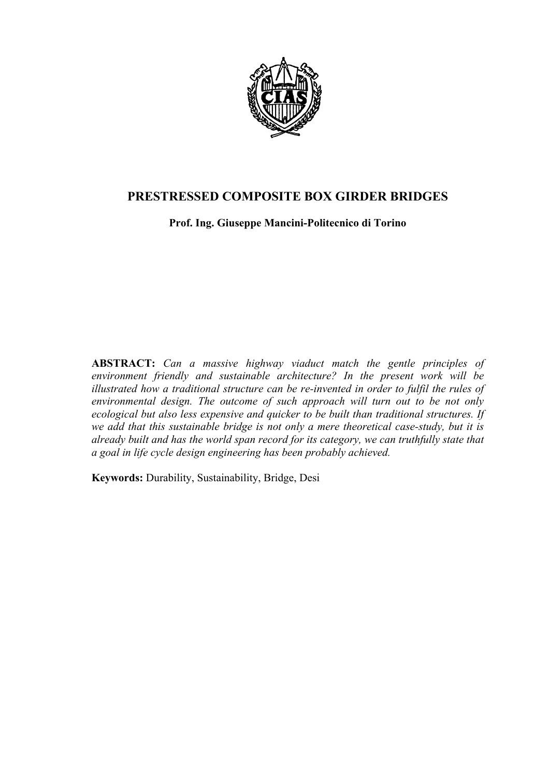

# **PRESTRESSED COMPOSITE BOX GIRDER BRIDGES**

**Prof. Ing. Giuseppe Mancini-Politecnico di Torino** 

**ABSTRACT:** *Can a massive highway viaduct match the gentle principles of environment friendly and sustainable architecture? In the present work will be illustrated how a traditional structure can be re-invented in order to fulfil the rules of environmental design. The outcome of such approach will turn out to be not only ecological but also less expensive and quicker to be built than traditional structures. If we add that this sustainable bridge is not only a mere theoretical case-study, but it is already built and has the world span record for its category, we can truthfully state that a goal in life cycle design engineering has been probably achieved.*

**Keywords:** Durability, Sustainability, Bridge, Desi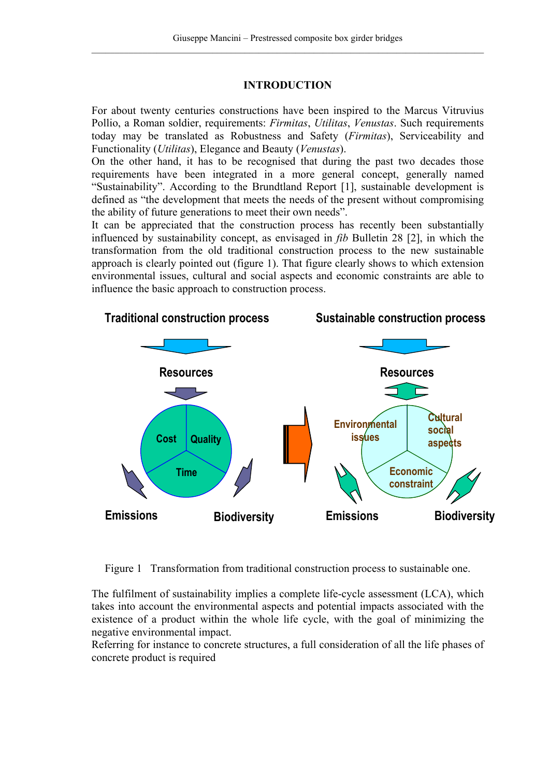# **INTRODUCTION**

For about twenty centuries constructions have been inspired to the Marcus Vitruvius Pollio, a Roman soldier, requirements: *Firmitas*, *Utilitas*, *Venustas*. Such requirements today may be translated as Robustness and Safety (*Firmitas*), Serviceability and Functionality (*Utilitas*), Elegance and Beauty (*Venustas*).

On the other hand, it has to be recognised that during the past two decades those requirements have been integrated in a more general concept, generally named "Sustainability". According to the Brundtland Report [1], sustainable development is defined as "the development that meets the needs of the present without compromising the ability of future generations to meet their own needs".

It can be appreciated that the construction process has recently been substantially influenced by sustainability concept, as envisaged in *fib* Bulletin 28 [2], in which the transformation from the old traditional construction process to the new sustainable approach is clearly pointed out (figure 1). That figure clearly shows to which extension environmental issues, cultural and social aspects and economic constraints are able to influence the basic approach to construction process.



Figure 1 Transformation from traditional construction process to sustainable one.

The fulfilment of sustainability implies a complete life-cycle assessment (LCA), which takes into account the environmental aspects and potential impacts associated with the existence of a product within the whole life cycle, with the goal of minimizing the negative environmental impact.

Referring for instance to concrete structures, a full consideration of all the life phases of concrete product is required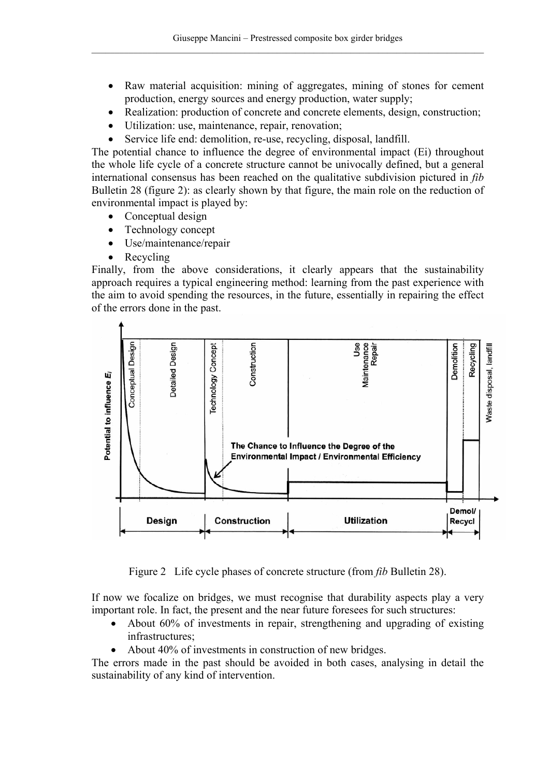- Raw material acquisition: mining of aggregates, mining of stones for cement production, energy sources and energy production, water supply;
- Realization: production of concrete and concrete elements, design, construction;
- Utilization: use, maintenance, repair, renovation;
- Service life end: demolition, re-use, recycling, disposal, landfill.

The potential chance to influence the degree of environmental impact (Ei) throughout the whole life cycle of a concrete structure cannot be univocally defined, but a general international consensus has been reached on the qualitative subdivision pictured in *fib* Bulletin 28 (figure 2): as clearly shown by that figure, the main role on the reduction of environmental impact is played by:

- Conceptual design
- Technology concept
- Use/maintenance/repair
- Recycling

Finally, from the above considerations, it clearly appears that the sustainability approach requires a typical engineering method: learning from the past experience with the aim to avoid spending the resources, in the future, essentially in repairing the effect of the errors done in the past.



Figure 2 Life cycle phases of concrete structure (from *fib* Bulletin 28).

If now we focalize on bridges, we must recognise that durability aspects play a very important role. In fact, the present and the near future foresees for such structures:

- About 60% of investments in repair, strengthening and upgrading of existing infrastructures;
- About 40% of investments in construction of new bridges.

The errors made in the past should be avoided in both cases, analysing in detail the sustainability of any kind of intervention.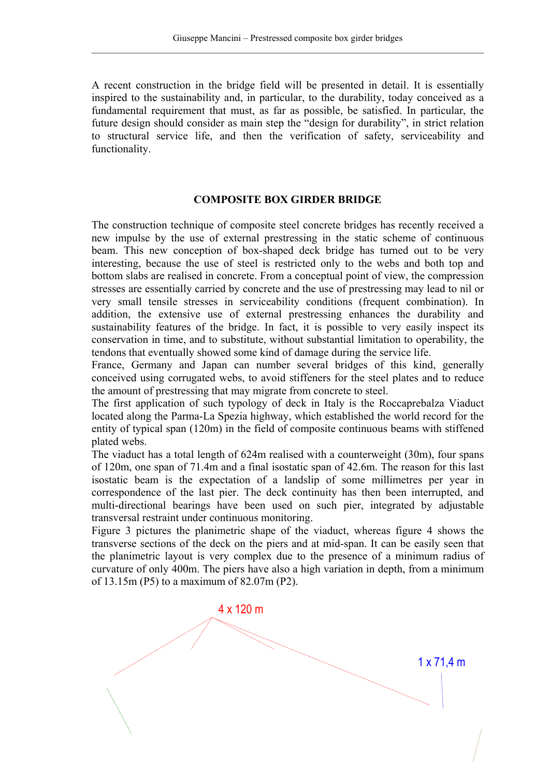A recent construction in the bridge field will be presented in detail. It is essentially inspired to the sustainability and, in particular, to the durability, today conceived as a fundamental requirement that must, as far as possible, be satisfied. In particular, the future design should consider as main step the "design for durability", in strict relation to structural service life, and then the verification of safety, serviceability and functionality.

### **COMPOSITE BOX GIRDER BRIDGE**

The construction technique of composite steel concrete bridges has recently received a new impulse by the use of external prestressing in the static scheme of continuous beam. This new conception of box-shaped deck bridge has turned out to be very interesting, because the use of steel is restricted only to the webs and both top and bottom slabs are realised in concrete. From a conceptual point of view, the compression stresses are essentially carried by concrete and the use of prestressing may lead to nil or very small tensile stresses in serviceability conditions (frequent combination). In addition, the extensive use of external prestressing enhances the durability and sustainability features of the bridge. In fact, it is possible to very easily inspect its conservation in time, and to substitute, without substantial limitation to operability, the tendons that eventually showed some kind of damage during the service life.

France, Germany and Japan can number several bridges of this kind, generally conceived using corrugated webs, to avoid stiffeners for the steel plates and to reduce the amount of prestressing that may migrate from concrete to steel.

The first application of such typology of deck in Italy is the Roccaprebalza Viaduct located along the Parma-La Spezia highway, which established the world record for the entity of typical span (120m) in the field of composite continuous beams with stiffened plated webs.

The viaduct has a total length of 624m realised with a counterweight (30m), four spans of 120m, one span of 71.4m and a final isostatic span of 42.6m. The reason for this last isostatic beam is the expectation of a landslip of some millimetres per year in correspondence of the last pier. The deck continuity has then been interrupted, and multi-directional bearings have been used on such pier, integrated by adjustable transversal restraint under continuous monitoring.

Figure 3 pictures the planimetric shape of the viaduct, whereas figure 4 shows the transverse sections of the deck on the piers and at mid-span. It can be easily seen that the planimetric layout is very complex due to the presence of a minimum radius of curvature of only 400m. The piers have also a high variation in depth, from a minimum of 13.15m (P5) to a maximum of 82.07m (P2).

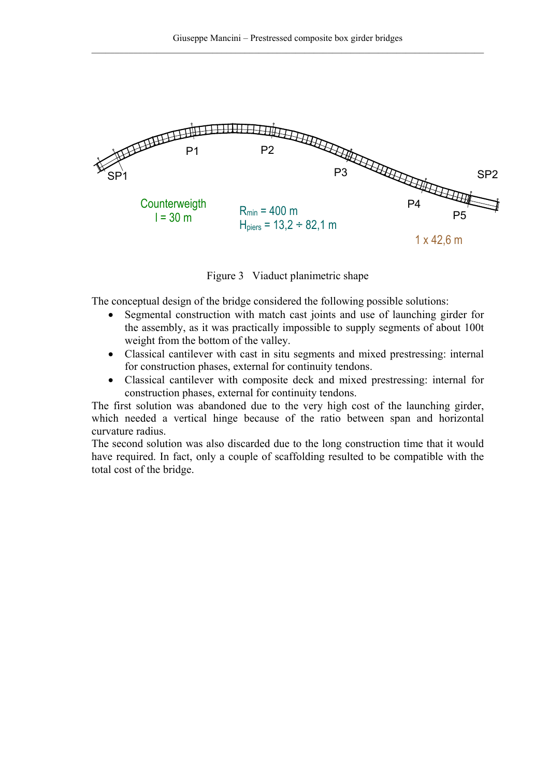

Figure 3 Viaduct planimetric shape

The conceptual design of the bridge considered the following possible solutions:

- Segmental construction with match cast joints and use of launching girder for the assembly, as it was practically impossible to supply segments of about 100t weight from the bottom of the valley.
- Classical cantilever with cast in situ segments and mixed prestressing: internal for construction phases, external for continuity tendons.
- Classical cantilever with composite deck and mixed prestressing: internal for construction phases, external for continuity tendons.

The first solution was abandoned due to the very high cost of the launching girder, which needed a vertical hinge because of the ratio between span and horizontal curvature radius.

The second solution was also discarded due to the long construction time that it would have required. In fact, only a couple of scaffolding resulted to be compatible with the total cost of the bridge.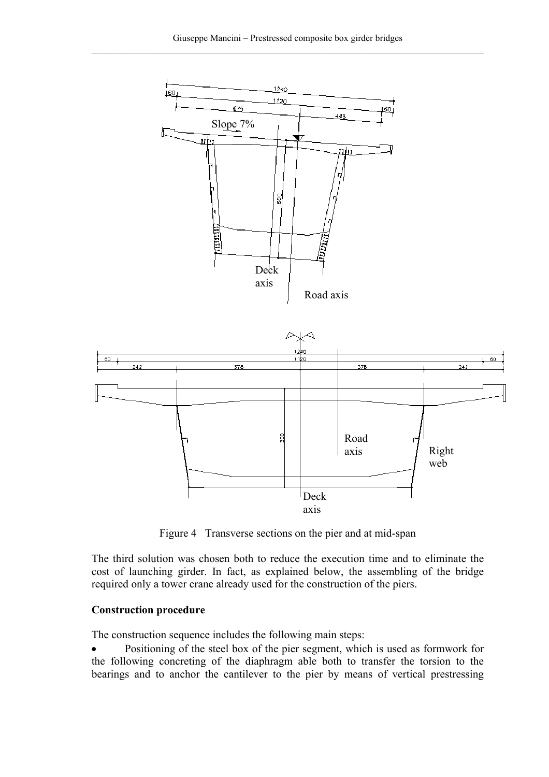

Figure 4 Transverse sections on the pier and at mid-span

The third solution was chosen both to reduce the execution time and to eliminate the cost of launching girder. In fact, as explained below, the assembling of the bridge required only a tower crane already used for the construction of the piers.

#### **Construction procedure**

The construction sequence includes the following main steps:

• Positioning of the steel box of the pier segment, which is used as formwork for the following concreting of the diaphragm able both to transfer the torsion to the bearings and to anchor the cantilever to the pier by means of vertical prestressing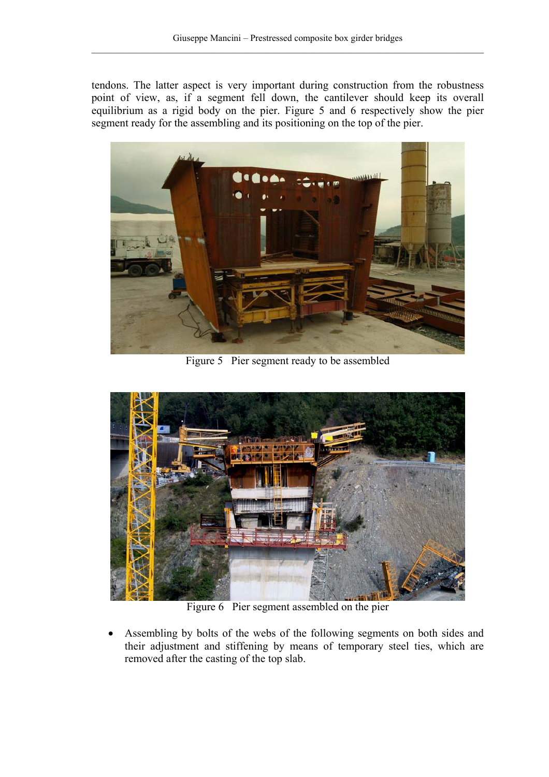tendons. The latter aspect is very important during construction from the robustness point of view, as, if a segment fell down, the cantilever should keep its overall equilibrium as a rigid body on the pier. Figure 5 and 6 respectively show the pier segment ready for the assembling and its positioning on the top of the pier.



Figure 5 Pier segment ready to be assembled



Figure 6 Pier segment assembled on the pier

• Assembling by bolts of the webs of the following segments on both sides and their adjustment and stiffening by means of temporary steel ties, which are removed after the casting of the top slab.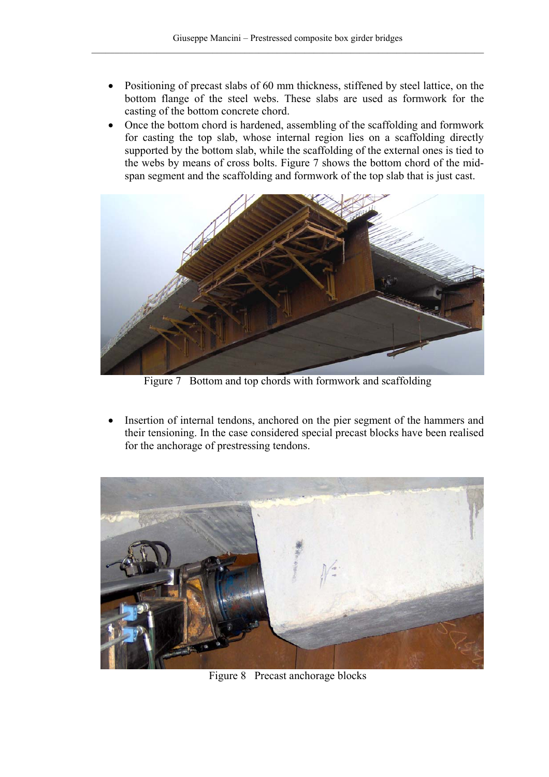- Positioning of precast slabs of 60 mm thickness, stiffened by steel lattice, on the bottom flange of the steel webs. These slabs are used as formwork for the casting of the bottom concrete chord.
- Once the bottom chord is hardened, assembling of the scaffolding and formwork for casting the top slab, whose internal region lies on a scaffolding directly supported by the bottom slab, while the scaffolding of the external ones is tied to the webs by means of cross bolts. Figure 7 shows the bottom chord of the midspan segment and the scaffolding and formwork of the top slab that is just cast.



Figure 7 Bottom and top chords with formwork and scaffolding

Insertion of internal tendons, anchored on the pier segment of the hammers and their tensioning. In the case considered special precast blocks have been realised for the anchorage of prestressing tendons.



Figure 8 Precast anchorage blocks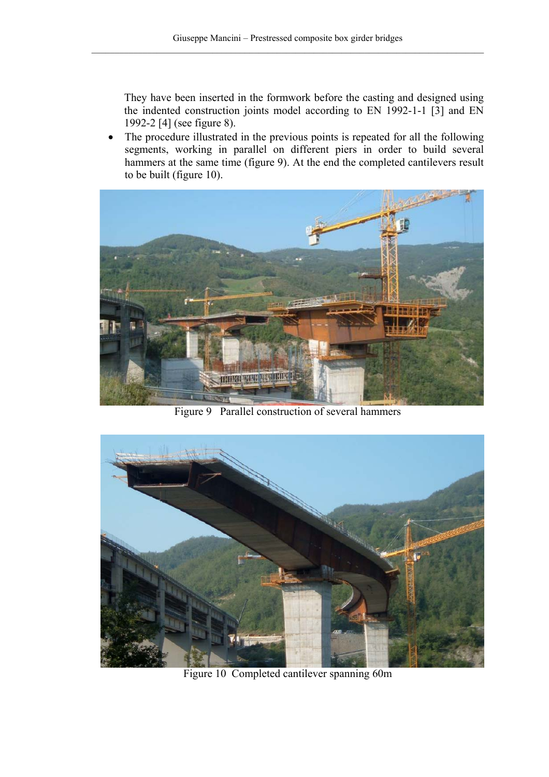They have been inserted in the formwork before the casting and designed using the indented construction joints model according to EN 1992-1-1 [3] and EN 1992-2 [4] (see figure 8).

• The procedure illustrated in the previous points is repeated for all the following segments, working in parallel on different piers in order to build several hammers at the same time (figure 9). At the end the completed cantilevers result to be built (figure 10).



Figure 9 Parallel construction of several hammers



Figure 10 Completed cantilever spanning 60m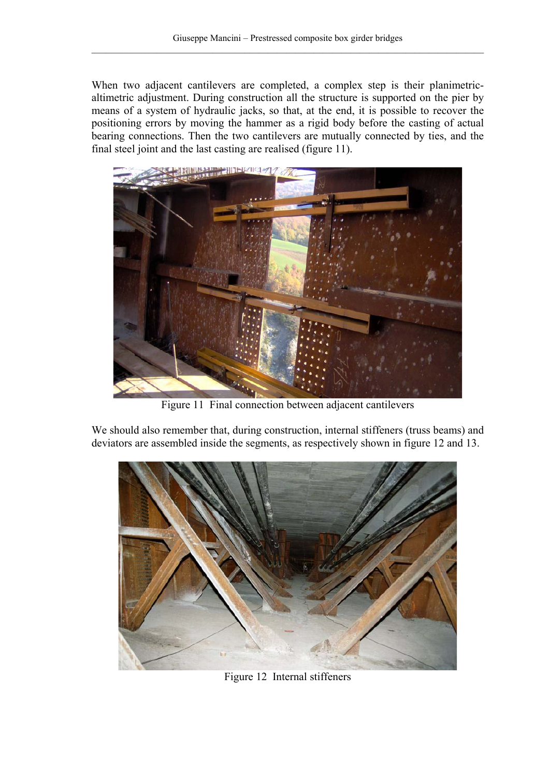When two adjacent cantilevers are completed, a complex step is their planimetricaltimetric adjustment. During construction all the structure is supported on the pier by means of a system of hydraulic jacks, so that, at the end, it is possible to recover the positioning errors by moving the hammer as a rigid body before the casting of actual bearing connections. Then the two cantilevers are mutually connected by ties, and the final steel joint and the last casting are realised (figure 11).



Figure 11 Final connection between adjacent cantilevers

We should also remember that, during construction, internal stiffeners (truss beams) and deviators are assembled inside the segments, as respectively shown in figure 12 and 13.



Figure 12 Internal stiffeners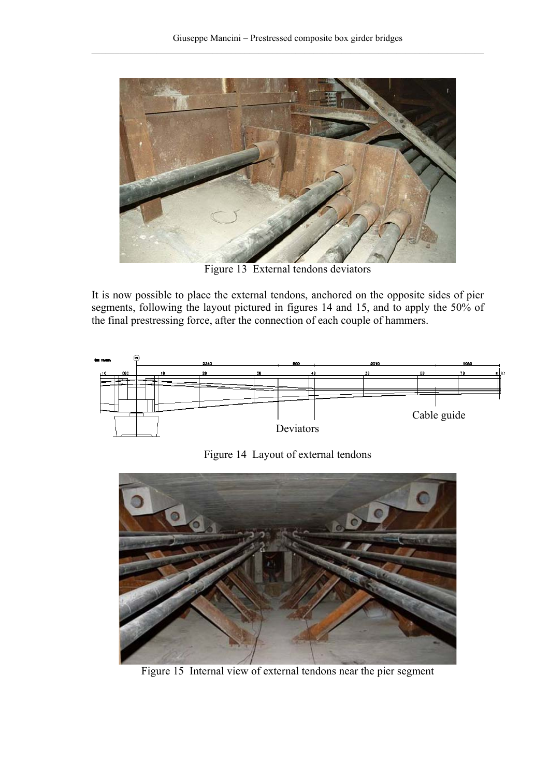

Figure 13 External tendons deviators

It is now possible to place the external tendons, anchored on the opposite sides of pier segments, following the layout pictured in figures 14 and 15, and to apply the 50% of the final prestressing force, after the connection of each couple of hammers.



Figure 14 Layout of external tendons



Figure 15 Internal view of external tendons near the pier segment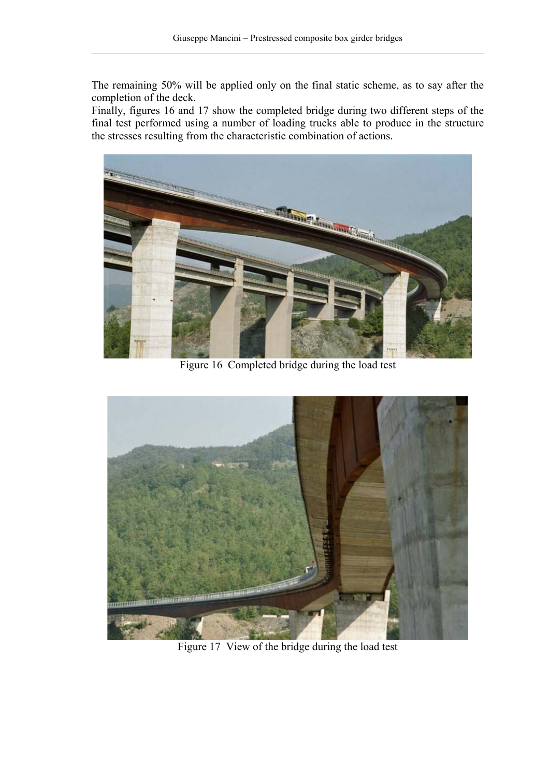The remaining 50% will be applied only on the final static scheme, as to say after the completion of the deck.

Finally, figures 16 and 17 show the completed bridge during two different steps of the final test performed using a number of loading trucks able to produce in the structure the stresses resulting from the characteristic combination of actions.



Figure 16 Completed bridge during the load test



Figure 17 View of the bridge during the load test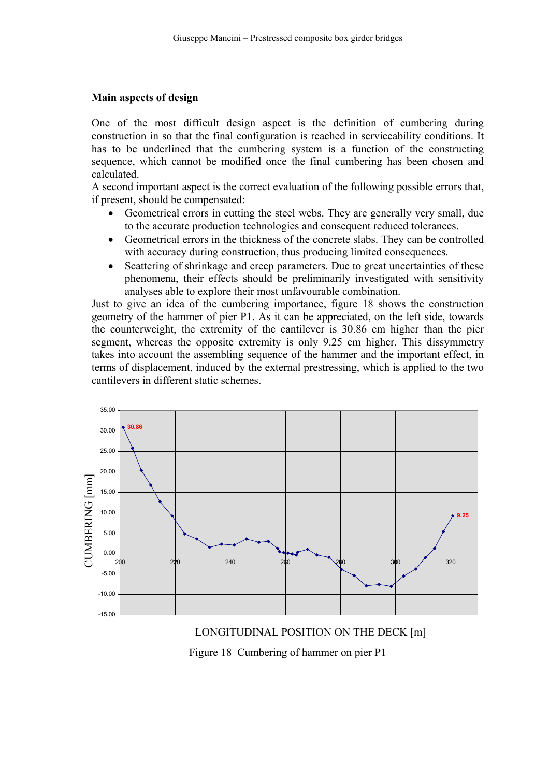## **Main aspects of design**

One of the most difficult design aspect is the definition of cumbering during construction in so that the final configuration is reached in serviceability conditions. It has to be underlined that the cumbering system is a function of the constructing sequence, which cannot be modified once the final cumbering has been chosen and calculated.

A second important aspect is the correct evaluation of the following possible errors that, if present, should be compensated:

- Geometrical errors in cutting the steel webs. They are generally very small, due to the accurate production technologies and consequent reduced tolerances.
- Geometrical errors in the thickness of the concrete slabs. They can be controlled with accuracy during construction, thus producing limited consequences.
- Scattering of shrinkage and creep parameters. Due to great uncertainties of these phenomena, their effects should be preliminarily investigated with sensitivity analyses able to explore their most unfavourable combination.

Just to give an idea of the cumbering importance, figure 18 shows the construction geometry of the hammer of pier P1. As it can be appreciated, on the left side, towards the counterweight, the extremity of the cantilever is 30.86 cm higher than the pier segment, whereas the opposite extremity is only 9.25 cm higher. This dissymmetry takes into account the assembling sequence of the hammer and the important effect, in terms of displacement, induced by the external prestressing, which is applied to the two cantilevers in different static schemes.



LONGITUDINAL POSITION ON THE DECK [m] Figure 18 Cumbering of hammer on pier P1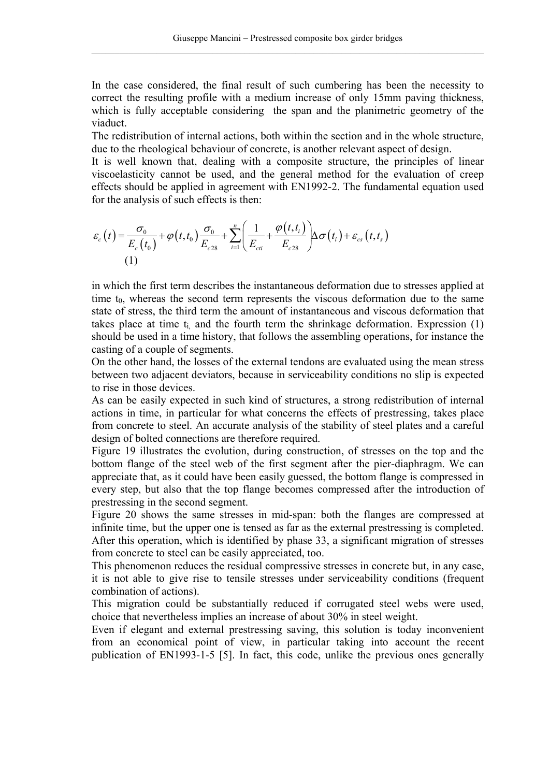In the case considered, the final result of such cumbering has been the necessity to correct the resulting profile with a medium increase of only 15mm paving thickness, which is fully acceptable considering the span and the planimetric geometry of the viaduct.

The redistribution of internal actions, both within the section and in the whole structure, due to the rheological behaviour of concrete, is another relevant aspect of design.

It is well known that, dealing with a composite structure, the principles of linear viscoelasticity cannot be used, and the general method for the evaluation of creep effects should be applied in agreement with EN1992-2. The fundamental equation used for the analysis of such effects is then:

$$
\varepsilon_c(t) = \frac{\sigma_0}{E_c(t_0)} + \varphi(t, t_0) \frac{\sigma_0}{E_{c28}} + \sum_{i=1}^n \left( \frac{1}{E_{ci}} + \frac{\varphi(t, t_i)}{E_{c28}} \right) \Delta \sigma(t_i) + \varepsilon_{cs}(t, t_s)
$$
\n(1)

in which the first term describes the instantaneous deformation due to stresses applied at time  $t_0$ , whereas the second term represents the viscous deformation due to the same state of stress, the third term the amount of instantaneous and viscous deformation that takes place at time  $t_i$  and the fourth term the shrinkage deformation. Expression  $(1)$ should be used in a time history, that follows the assembling operations, for instance the casting of a couple of segments.

On the other hand, the losses of the external tendons are evaluated using the mean stress between two adjacent deviators, because in serviceability conditions no slip is expected to rise in those devices.

As can be easily expected in such kind of structures, a strong redistribution of internal actions in time, in particular for what concerns the effects of prestressing, takes place from concrete to steel. An accurate analysis of the stability of steel plates and a careful design of bolted connections are therefore required.

Figure 19 illustrates the evolution, during construction, of stresses on the top and the bottom flange of the steel web of the first segment after the pier-diaphragm. We can appreciate that, as it could have been easily guessed, the bottom flange is compressed in every step, but also that the top flange becomes compressed after the introduction of prestressing in the second segment.

Figure 20 shows the same stresses in mid-span: both the flanges are compressed at infinite time, but the upper one is tensed as far as the external prestressing is completed. After this operation, which is identified by phase 33, a significant migration of stresses from concrete to steel can be easily appreciated, too.

This phenomenon reduces the residual compressive stresses in concrete but, in any case, it is not able to give rise to tensile stresses under serviceability conditions (frequent combination of actions).

This migration could be substantially reduced if corrugated steel webs were used, choice that nevertheless implies an increase of about 30% in steel weight.

Even if elegant and external prestressing saving, this solution is today inconvenient from an economical point of view, in particular taking into account the recent publication of EN1993-1-5 [5]. In fact, this code, unlike the previous ones generally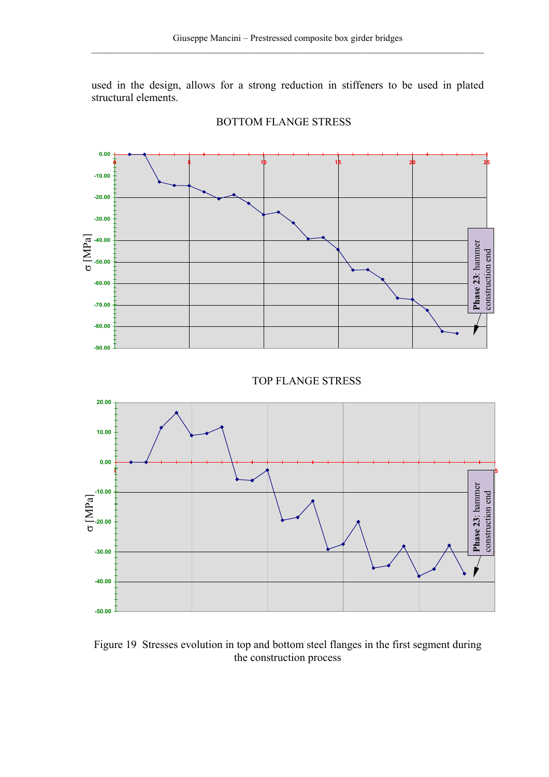used in the design, allows for a strong reduction in stiffeners to be used in plated structural elements.



#### BOTTOM FLANGE STRESS

Figure 19 Stresses evolution in top and bottom steel flanges in the first segment during the construction process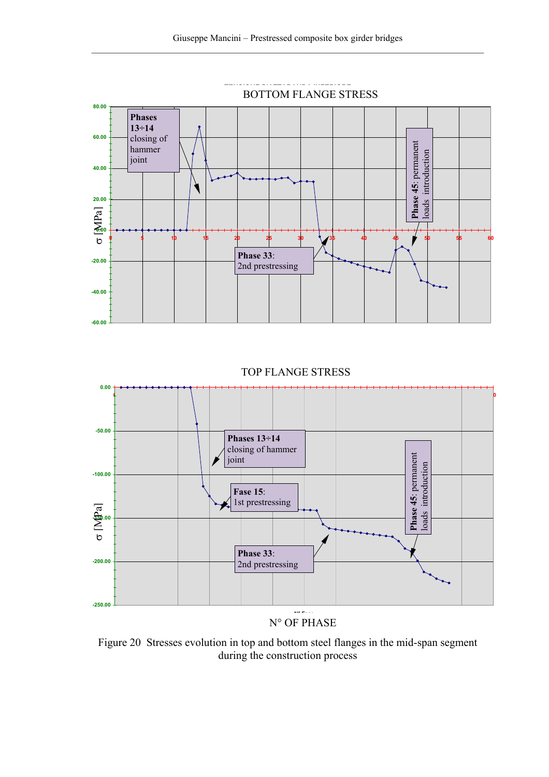

TOP FLANGE STRESS



N° OF PHASE

Figure 20 Stresses evolution in top and bottom steel flanges in the mid-span segment during the construction process